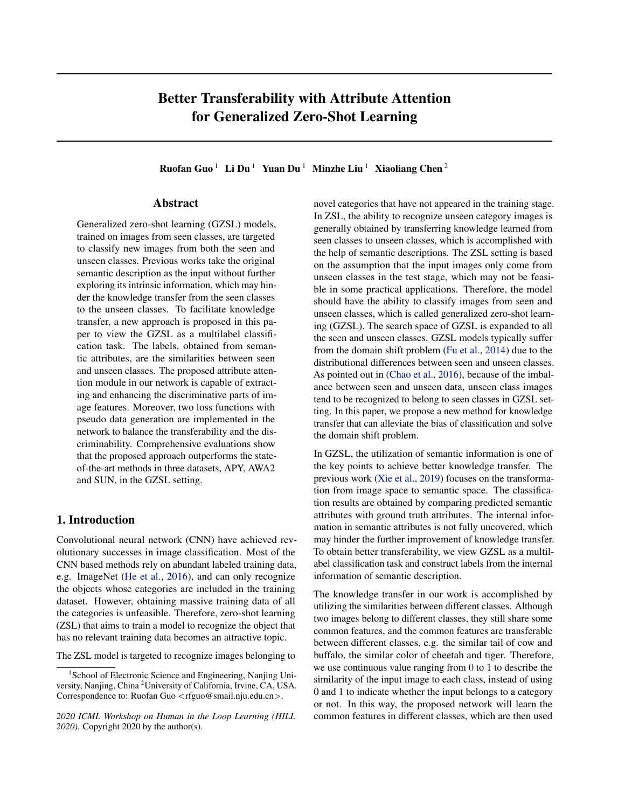# Better Transferability with Attribute Attention for Generalized Zero-Shot Learning

Ruofan Guo<sup>1</sup> Li Du<sup>1</sup> Yuan Du<sup>1</sup> Minzhe Liu<sup>1</sup> Xiaoliang Chen<sup>2</sup>

# Abstract

Generalized zero-shot learning (GZSL) models, trained on images from seen classes, are targeted to classify new images from both the seen and unseen classes. Previous works take the original semantic description as the input without further exploring its intrinsic information, which may hinder the knowledge transfer from the seen classes to the unseen classes. To facilitate knowledge transfer, a new approach is proposed in this paper to view the GZSL as a multilabel classification task. The labels, obtained from semantic attributes, are the similarities between seen and unseen classes. The proposed attribute attention module in our network is capable of extracting and enhancing the discriminative parts of image features. Moreover, two loss functions with pseudo data generation are implemented in the network to balance the transferability and the discriminability. Comprehensive evaluations show that the proposed approach outperforms the stateof-the-art methods in three datasets, APY, AWA2 and SUN, in the GZSL setting.

# 1. Introduction

Convolutional neural network (CNN) have achieved revolutionary successes in image classification. Most of the CNN based methods rely on abundant labeled training data, e.g. ImageNet [\(He et al.,](#page-7-0) [2016\)](#page-7-0), and can only recognize the objects whose categories are included in the training dataset. However, obtaining massive training data of all the categories is unfeasible. Therefore, zero-shot learning (ZSL) that aims to train a model to recognize the object that has no relevant training data becomes an attractive topic.

The ZSL model is targeted to recognize images belonging to

novel categories that have not appeared in the training stage. In ZSL, the ability to recognize unseen category images is generally obtained by transferring knowledge learned from seen classes to unseen classes, which is accomplished with the help of semantic descriptions. The ZSL setting is based on the assumption that the input images only come from unseen classes in the test stage, which may not be feasible in some practical applications. Therefore, the model should have the ability to classify images from seen and unseen classes, which is called generalized zero-shot learning (GZSL). The search space of GZSL is expanded to all the seen and unseen classes. GZSL models typically suffer from the domain shift problem [\(Fu et al.,](#page-7-0) [2014\)](#page-7-0) due to the distributional differences between seen and unseen classes. As pointed out in [\(Chao et al.,](#page-7-0) [2016\)](#page-7-0), because of the imbalance between seen and unseen data, unseen class images tend to be recognized to belong to seen classes in GZSL setting. In this paper, we propose a new method for knowledge transfer that can alleviate the bias of classification and solve the domain shift problem.

In GZSL, the utilization of semantic information is one of the key points to achieve better knowledge transfer. The previous work [\(Xie et al.,](#page-8-0) [2019\)](#page-8-0) focuses on the transformation from image space to semantic space. The classification results are obtained by comparing predicted semantic attributes with ground truth attributes. The internal information in semantic attributes is not fully uncovered, which may hinder the further improvement of knowledge transfer. To obtain better transferability, we view GZSL as a multilabel classification task and construct labels from the internal information of semantic description.

The knowledge transfer in our work is accomplished by utilizing the similarities between different classes. Although two images belong to different classes, they still share some common features, and the common features are transferable between different classes, e.g. the similar tail of cow and buffalo, the similar color of cheetah and tiger. Therefore, we use continuous value ranging from 0 to 1 to describe the similarity of the input image to each class, instead of using 0 and 1 to indicate whether the input belongs to a category or not. In this way, the proposed network will learn the common features in different classes, which are then used

<sup>&</sup>lt;sup>1</sup> School of Electronic Science and Engineering, Nanjing University, Nanjing, China <sup>2</sup>University of California, Irvine, CA, USA. Correspondence to: Ruofan Guo <rfguo@smail.nju.edu.cn>.

*<sup>2020</sup> ICML Workshop on Human in the Loop Learning (HILL 2020)*. Copyright 2020 by the author(s).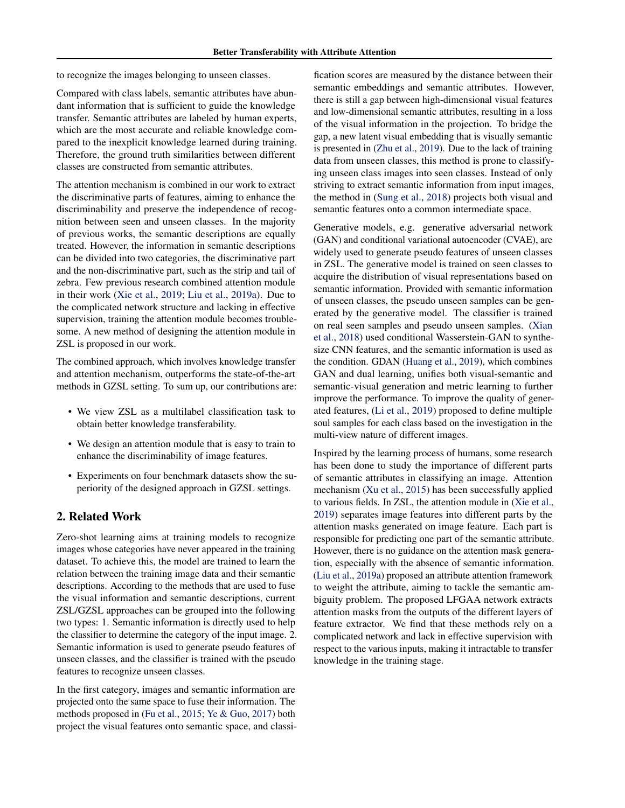to recognize the images belonging to unseen classes.

Compared with class labels, semantic attributes have abundant information that is sufficient to guide the knowledge transfer. Semantic attributes are labeled by human experts, which are the most accurate and reliable knowledge compared to the inexplicit knowledge learned during training. Therefore, the ground truth similarities between different classes are constructed from semantic attributes.

The attention mechanism is combined in our work to extract the discriminative parts of features, aiming to enhance the discriminability and preserve the independence of recognition between seen and unseen classes. In the majority of previous works, the semantic descriptions are equally treated. However, the information in semantic descriptions can be divided into two categories, the discriminative part and the non-discriminative part, such as the strip and tail of zebra. Few previous research combined attention module in their work [\(Xie et al.,](#page-8-0) [2019;](#page-8-0) [Liu et al.,](#page-7-0) [2019a\)](#page-7-0). Due to the complicated network structure and lacking in effective supervision, training the attention module becomes troublesome. A new method of designing the attention module in ZSL is proposed in our work.

The combined approach, which involves knowledge transfer and attention mechanism, outperforms the state-of-the-art methods in GZSL setting. To sum up, our contributions are:

- We view ZSL as a multilabel classification task to obtain better knowledge transferability.
- We design an attention module that is easy to train to enhance the discriminability of image features.
- Experiments on four benchmark datasets show the superiority of the designed approach in GZSL settings.

# 2. Related Work

Zero-shot learning aims at training models to recognize images whose categories have never appeared in the training dataset. To achieve this, the model are trained to learn the relation between the training image data and their semantic descriptions. According to the methods that are used to fuse the visual information and semantic descriptions, current ZSL/GZSL approaches can be grouped into the following two types: 1. Semantic information is directly used to help the classifier to determine the category of the input image. 2. Semantic information is used to generate pseudo features of unseen classes, and the classifier is trained with the pseudo features to recognize unseen classes.

In the first category, images and semantic information are projected onto the same space to fuse their information. The methods proposed in [\(Fu et al.,](#page-7-0) [2015;](#page-7-0) [Ye & Guo,](#page-8-0) [2017\)](#page-8-0) both project the visual features onto semantic space, and classi-

fication scores are measured by the distance between their semantic embeddings and semantic attributes. However, there is still a gap between high-dimensional visual features and low-dimensional semantic attributes, resulting in a loss of the visual information in the projection. To bridge the gap, a new latent visual embedding that is visually semantic is presented in [\(Zhu et al.,](#page-8-0) [2019\)](#page-8-0). Due to the lack of training data from unseen classes, this method is prone to classifying unseen class images into seen classes. Instead of only striving to extract semantic information from input images, the method in [\(Sung et al.,](#page-7-0) [2018\)](#page-7-0) projects both visual and semantic features onto a common intermediate space.

Generative models, e.g. generative adversarial network (GAN) and conditional variational autoencoder (CVAE), are widely used to generate pseudo features of unseen classes in ZSL. The generative model is trained on seen classes to acquire the distribution of visual representations based on semantic information. Provided with semantic information of unseen classes, the pseudo unseen samples can be generated by the generative model. The classifier is trained on real seen samples and pseudo unseen samples. [\(Xian](#page-8-0) [et al.,](#page-8-0) [2018\)](#page-8-0) used conditional Wasserstein-GAN to synthesize CNN features, and the semantic information is used as the condition. GDAN [\(Huang et al.,](#page-7-0) [2019\)](#page-7-0), which combines GAN and dual learning, unifies both visual-semantic and semantic-visual generation and metric learning to further improve the performance. To improve the quality of generated features, [\(Li et al.,](#page-7-0) [2019\)](#page-7-0) proposed to define multiple soul samples for each class based on the investigation in the multi-view nature of different images.

Inspired by the learning process of humans, some research has been done to study the importance of different parts of semantic attributes in classifying an image. Attention mechanism [\(Xu et al.,](#page-8-0) [2015\)](#page-8-0) has been successfully applied to various fields. In ZSL, the attention module in [\(Xie et al.,](#page-8-0) [2019\)](#page-8-0) separates image features into different parts by the attention masks generated on image feature. Each part is responsible for predicting one part of the semantic attribute. However, there is no guidance on the attention mask generation, especially with the absence of semantic information. [\(Liu et al.,](#page-7-0) [2019a\)](#page-7-0) proposed an attribute attention framework to weight the attribute, aiming to tackle the semantic ambiguity problem. The proposed LFGAA network extracts attention masks from the outputs of the different layers of feature extractor. We find that these methods rely on a complicated network and lack in effective supervision with respect to the various inputs, making it intractable to transfer knowledge in the training stage.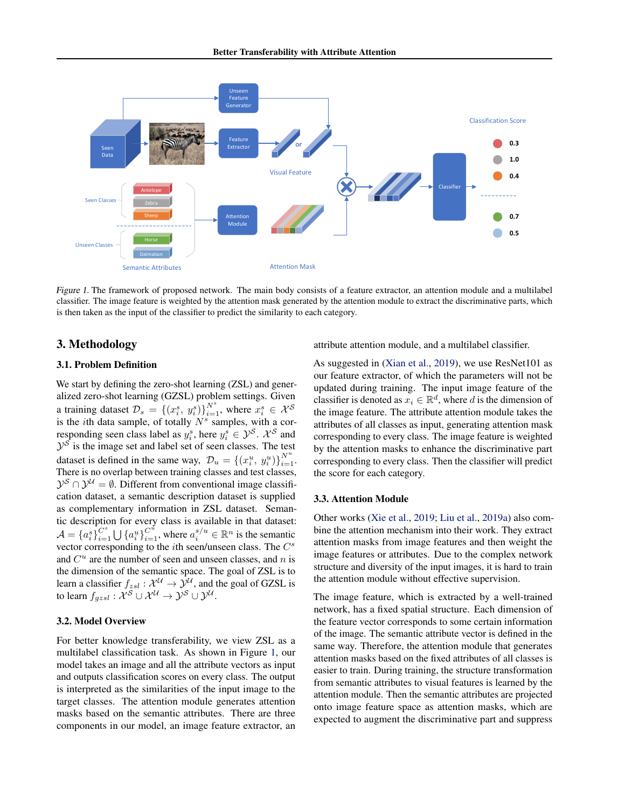

Figure 1. The framework of proposed network. The main body consists of a feature extractor, an attention module and a multilabel classifier. The image feature is weighted by the attention mask generated by the attention module to extract the discriminative parts, which is then taken as the input of the classifier to predict the similarity to each category.

## 3. Methodology

## 3.1. Problem Definition

We start by defining the zero-shot learning (ZSL) and generalized zero-shot learning (GZSL) problem settings. Given a training dataset  $\mathcal{D}_s = \{(x_i^s, y_i^s)\}_{i=1}^{N^s}$ , where  $x_i^s \in \mathcal{X}^S$ is the *i*th data sample, of totally  $N<sup>s</sup>$  samples, with a corresponding seen class label as  $y_i^s$ , here  $y_i^s \in \mathcal{Y}^{\mathcal{S}}$ .  $\mathcal{X}^{\mathcal{S}}$  and  $\mathcal{Y}^{\mathcal{S}}$  is the image set and label set of seen classes. The test dataset is defined in the same way,  $\mathcal{D}_u = \{(x_i^u, y_i^u)\}_{i=1}^{N^u}$ . There is no overlap between training classes and test classes,  $\mathcal{Y}^{\mathcal{S}} \cap \mathcal{Y}^{\mathcal{U}} = \emptyset$ . Different from conventional image classification dataset, a semantic description dataset is supplied as complementary information in ZSL dataset. Semantic description for every class is available in that dataset:  $\mathcal{A} = \{a_i^s\}_{i=1}^{C^s}$  $\sum_{i=1}^{C^s} \bigcup {\{a_i^u\}}_{i=1}^{C^u}$ , where  $a_i^{s/u} \in \mathbb{R}^n$  is the semantic vector corresponding to the *i*th seen/unseen class. The  $C^s$ and  $C<sup>u</sup>$  are the number of seen and unseen classes, and n is the dimension of the semantic space. The goal of ZSL is to learn a classifier  $f_{zsl} : \mathcal{X}^{\mathcal{U}} \to \mathcal{Y}^{\mathcal{U}},$  and the goal of GZSL is to learn  $f_{gssl} : \mathcal{X}^{\mathcal{S}} \cup \mathcal{X}^{\mathcal{U}} \rightarrow \mathcal{Y}^{\mathcal{S}} \cup \mathcal{Y}^{\mathcal{U}}.$ 

## 3.2. Model Overview

For better knowledge transferability, we view ZSL as a multilabel classification task. As shown in Figure 1, our model takes an image and all the attribute vectors as input and outputs classification scores on every class. The output is interpreted as the similarities of the input image to the target classes. The attention module generates attention masks based on the semantic attributes. There are three components in our model, an image feature extractor, an attribute attention module, and a multilabel classifier.

As suggested in [\(Xian et al.,](#page-8-0) [2019\)](#page-8-0), we use ResNet101 as our feature extractor, of which the parameters will not be updated during training. The input image feature of the classifier is denoted as  $x_i \in \mathbb{R}^d$ , where d is the dimension of the image feature. The attribute attention module takes the attributes of all classes as input, generating attention mask corresponding to every class. The image feature is weighted by the attention masks to enhance the discriminative part corresponding to every class. Then the classifier will predict the score for each category.

#### 3.3. Attention Module

Other works [\(Xie et al.,](#page-8-0) [2019;](#page-8-0) [Liu et al.,](#page-7-0) [2019a\)](#page-7-0) also combine the attention mechanism into their work. They extract attention masks from image features and then weight the image features or attributes. Due to the complex network structure and diversity of the input images, it is hard to train the attention module without effective supervision.

The image feature, which is extracted by a well-trained network, has a fixed spatial structure. Each dimension of the feature vector corresponds to some certain information of the image. The semantic attribute vector is defined in the same way. Therefore, the attention module that generates attention masks based on the fixed attributes of all classes is easier to train. During training, the structure transformation from semantic attributes to visual features is learned by the attention module. Then the semantic attributes are projected onto image feature space as attention masks, which are expected to augment the discriminative part and suppress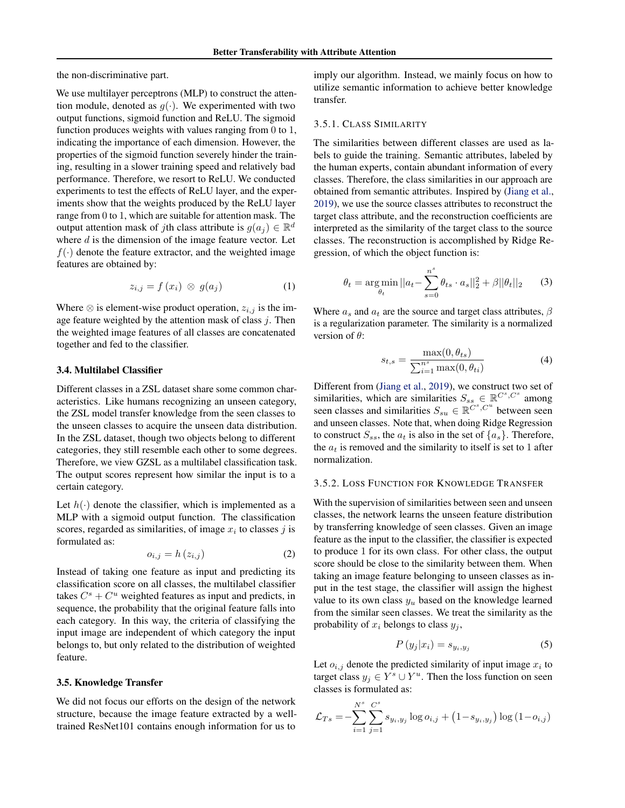<span id="page-3-0"></span>the non-discriminative part.

We use multilayer perceptrons (MLP) to construct the attention module, denoted as  $g(\cdot)$ . We experimented with two output functions, sigmoid function and ReLU. The sigmoid function produces weights with values ranging from 0 to 1, indicating the importance of each dimension. However, the properties of the sigmoid function severely hinder the training, resulting in a slower training speed and relatively bad performance. Therefore, we resort to ReLU. We conducted experiments to test the effects of ReLU layer, and the experiments show that the weights produced by the ReLU layer range from 0 to 1, which are suitable for attention mask. The output attention mask of *j*th class attribute is  $g(a_j) \in \mathbb{R}^d$ where  $d$  is the dimension of the image feature vector. Let  $f(\cdot)$  denote the feature extractor, and the weighted image features are obtained by:

$$
z_{i,j} = f(x_i) \otimes g(a_j) \tag{1}
$$

Where  $\otimes$  is element-wise product operation,  $z_{i,j}$  is the image feature weighted by the attention mask of class  $j$ . Then the weighted image features of all classes are concatenated together and fed to the classifier.

## 3.4. Multilabel Classifier

Different classes in a ZSL dataset share some common characteristics. Like humans recognizing an unseen category, the ZSL model transfer knowledge from the seen classes to the unseen classes to acquire the unseen data distribution. In the ZSL dataset, though two objects belong to different categories, they still resemble each other to some degrees. Therefore, we view GZSL as a multilabel classification task. The output scores represent how similar the input is to a certain category.

Let  $h(\cdot)$  denote the classifier, which is implemented as a MLP with a sigmoid output function. The classification scores, regarded as similarities, of image  $x_i$  to classes j is formulated as:

$$
o_{i,j} = h\left(z_{i,j}\right) \tag{2}
$$

Instead of taking one feature as input and predicting its classification score on all classes, the multilabel classifier takes  $C^s + C^u$  weighted features as input and predicts, in sequence, the probability that the original feature falls into each category. In this way, the criteria of classifying the input image are independent of which category the input belongs to, but only related to the distribution of weighted feature.

### 3.5. Knowledge Transfer

We did not focus our efforts on the design of the network structure, because the image feature extracted by a welltrained ResNet101 contains enough information for us to

imply our algorithm. Instead, we mainly focus on how to utilize semantic information to achieve better knowledge transfer.

## 3.5.1. CLASS SIMILARITY

The similarities between different classes are used as labels to guide the training. Semantic attributes, labeled by the human experts, contain abundant information of every classes. Therefore, the class similarities in our approach are obtained from semantic attributes. Inspired by [\(Jiang et al.,](#page-7-0) [2019\)](#page-7-0), we use the source classes attributes to reconstruct the target class attribute, and the reconstruction coefficients are interpreted as the similarity of the target class to the source classes. The reconstruction is accomplished by Ridge Regression, of which the object function is:

$$
\theta_t = \underset{\theta_t}{\arg \min} ||a_t - \sum_{s=0}^{n^s} \theta_{ts} \cdot a_s||_2^2 + \beta ||\theta_t||_2 \qquad (3)
$$

Where  $a_s$  and  $a_t$  are the source and target class attributes,  $\beta$ is a regularization parameter. The similarity is a normalized version of  $\theta$ :

$$
s_{t,s} = \frac{\max(0, \theta_{ts})}{\sum_{i=1}^{n^s} \max(0, \theta_{ti})}
$$
(4)

Different from [\(Jiang et al.,](#page-7-0) [2019\)](#page-7-0), we construct two set of similarities, which are similarities  $S_{ss} \in \mathbb{R}^{C^s, C^s}$  among seen classes and similarities  $S_{su} \in \mathbb{R}^{\overline{C}^s, C^u}$  between seen and unseen classes. Note that, when doing Ridge Regression to construct  $S_{ss}$ , the  $a_t$  is also in the set of  $\{a_s\}$ . Therefore, the  $a_t$  is removed and the similarity to itself is set to 1 after normalization.

#### 3.5.2. LOSS FUNCTION FOR KNOWLEDGE TRANSFER

With the supervision of similarities between seen and unseen classes, the network learns the unseen feature distribution by transferring knowledge of seen classes. Given an image feature as the input to the classifier, the classifier is expected to produce 1 for its own class. For other class, the output score should be close to the similarity between them. When taking an image feature belonging to unseen classes as input in the test stage, the classifier will assign the highest value to its own class  $y_u$  based on the knowledge learned from the similar seen classes. We treat the similarity as the probability of  $x_i$  belongs to class  $y_i$ ,

$$
P(y_j|x_i) = s_{y_i, y_j} \tag{5}
$$

Let  $o_{i,j}$  denote the predicted similarity of input image  $x_i$  to target class  $y_j \in Y^s \cup Y^u$ . Then the loss function on seen classes is formulated as:

$$
\mathcal{L}_{Ts} = -\sum_{i=1}^{N^s} \sum_{j=1}^{C^s} s_{y_i, y_j} \log o_{i,j} + (1 - s_{y_i, y_j}) \log (1 - o_{i,j})
$$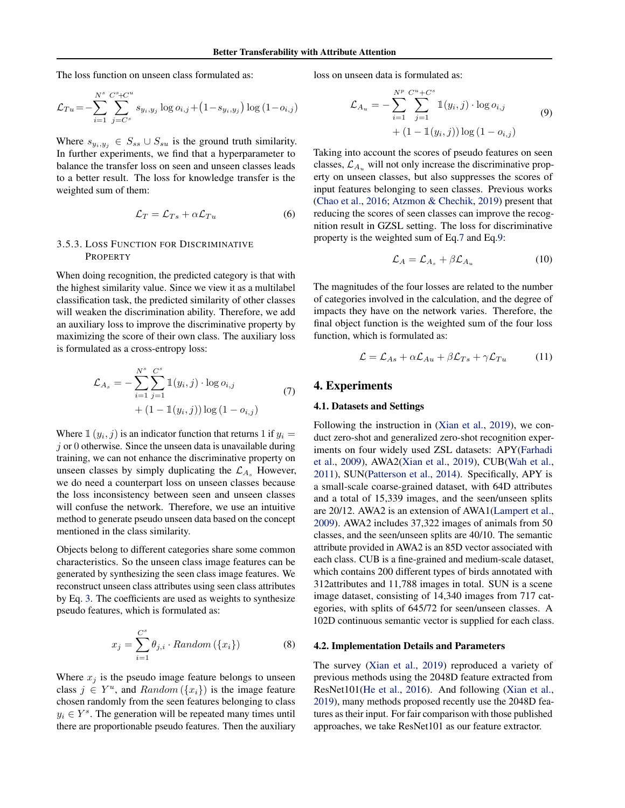<span id="page-4-0"></span>The loss function on unseen class formulated as:

$$
\mathcal{L}_{Tu} = -\sum_{i=1}^{N^s} \sum_{j=C^s}^{C^s + C^u} s_{y_i, y_j} \log o_{i,j} + (1 - s_{y_i, y_j}) \log (1 - o_{i,j})
$$

Where  $s_{y_i,y_j} \in S_{ss} \cup S_{su}$  is the ground truth similarity. In further experiments, we find that a hyperparameter to balance the transfer loss on seen and unseen classes leads to a better result. The loss for knowledge transfer is the weighted sum of them:

$$
\mathcal{L}_T = \mathcal{L}_{Ts} + \alpha \mathcal{L}_{Tu} \tag{6}
$$

## 3.5.3. LOSS FUNCTION FOR DISCRIMINATIVE PROPERTY

When doing recognition, the predicted category is that with the highest similarity value. Since we view it as a multilabel classification task, the predicted similarity of other classes will weaken the discrimination ability. Therefore, we add an auxiliary loss to improve the discriminative property by maximizing the score of their own class. The auxiliary loss is formulated as a cross-entropy loss:

$$
\mathcal{L}_{A_s} = -\sum_{i=1}^{N^s} \sum_{j=1}^{C^s} \mathbb{1}(y_i, j) \cdot \log o_{i,j} + (1 - \mathbb{1}(y_i, j)) \log (1 - o_{i,j}) \tag{7}
$$

Where  $\mathbb{1}(y_i, j)$  is an indicator function that returns 1 if  $y_i =$  $j$  or 0 otherwise. Since the unseen data is unavailable during training, we can not enhance the discriminative property on unseen classes by simply duplicating the  $\mathcal{L}_{A_s}$  However, we do need a counterpart loss on unseen classes because the loss inconsistency between seen and unseen classes will confuse the network. Therefore, we use an intuitive method to generate pseudo unseen data based on the concept mentioned in the class similarity.

Objects belong to different categories share some common characteristics. So the unseen class image features can be generated by synthesizing the seen class image features. We reconstruct unseen class attributes using seen class attributes by Eq. [3.](#page-3-0) The coefficients are used as weights to synthesize pseudo features, which is formulated as:

$$
x_j = \sum_{i=1}^{C^s} \theta_{j,i} \cdot Random(\{x_i\})
$$
 (8)

Where  $x_j$  is the pseudo image feature belongs to unseen class  $j \in Y^u$ , and  $Random(\lbrace x_i \rbrace)$  is the image feature chosen randomly from the seen features belonging to class  $y_i \in Y^s$ . The generation will be repeated many times until there are proportionable pseudo features. Then the auxiliary loss on unseen data is formulated as:

$$
\mathcal{L}_{A_u} = -\sum_{i=1}^{N^p} \sum_{j=1}^{C^u + C^s} \mathbb{1}(y_i, j) \cdot \log o_{i,j} \tag{9}
$$

$$
+ (1 - \mathbb{1}(y_i, j)) \log (1 - o_{i,j})
$$

Taking into account the scores of pseudo features on seen classes,  $\mathcal{L}_{A_u}$  will not only increase the discriminative property on unseen classes, but also suppresses the scores of input features belonging to seen classes. Previous works [\(Chao et al.,](#page-7-0) [2016;](#page-7-0) [Atzmon & Chechik,](#page-7-0) [2019\)](#page-7-0) present that reducing the scores of seen classes can improve the recognition result in GZSL setting. The loss for discriminative property is the weighted sum of Eq.7 and Eq.9:

$$
\mathcal{L}_A = \mathcal{L}_{A_s} + \beta \mathcal{L}_{A_u} \tag{10}
$$

The magnitudes of the four losses are related to the number of categories involved in the calculation, and the degree of impacts they have on the network varies. Therefore, the final object function is the weighted sum of the four loss function, which is formulated as:

$$
\mathcal{L} = \mathcal{L}_{As} + \alpha \mathcal{L}_{Au} + \beta \mathcal{L}_{Ts} + \gamma \mathcal{L}_{Tu} \tag{11}
$$

## 4. Experiments

#### 4.1. Datasets and Settings

Following the instruction in [\(Xian et al.,](#page-8-0) [2019\)](#page-8-0), we conduct zero-shot and generalized zero-shot recognition experiments on four widely used ZSL datasets: APY[\(Farhadi](#page-7-0) [et al.,](#page-7-0) [2009\)](#page-7-0), AWA2[\(Xian et al.,](#page-8-0) [2019\)](#page-8-0), CUB[\(Wah et al.,](#page-8-0) [2011\)](#page-8-0), SUN[\(Patterson et al.,](#page-7-0) [2014\)](#page-7-0). Specifically, APY is a small-scale coarse-grained dataset, with 64D attributes and a total of 15,339 images, and the seen/unseen splits are 20/12. AWA2 is an extension of AWA1[\(Lampert et al.,](#page-7-0) [2009\)](#page-7-0). AWA2 includes 37,322 images of animals from 50 classes, and the seen/unseen splits are 40/10. The semantic attribute provided in AWA2 is an 85D vector associated with each class. CUB is a fine-grained and medium-scale dataset, which contains 200 different types of birds annotated with 312attributes and 11,788 images in total. SUN is a scene image dataset, consisting of 14,340 images from 717 categories, with splits of 645/72 for seen/unseen classes. A 102D continuous semantic vector is supplied for each class.

#### 4.2. Implementation Details and Parameters

The survey [\(Xian et al.,](#page-8-0) [2019\)](#page-8-0) reproduced a variety of previous methods using the 2048D feature extracted from ResNet101[\(He et al.,](#page-7-0) [2016\)](#page-7-0). And following [\(Xian et al.,](#page-8-0) [2019\)](#page-8-0), many methods proposed recently use the 2048D features as their input. For fair comparison with those published approaches, we take ResNet101 as our feature extractor.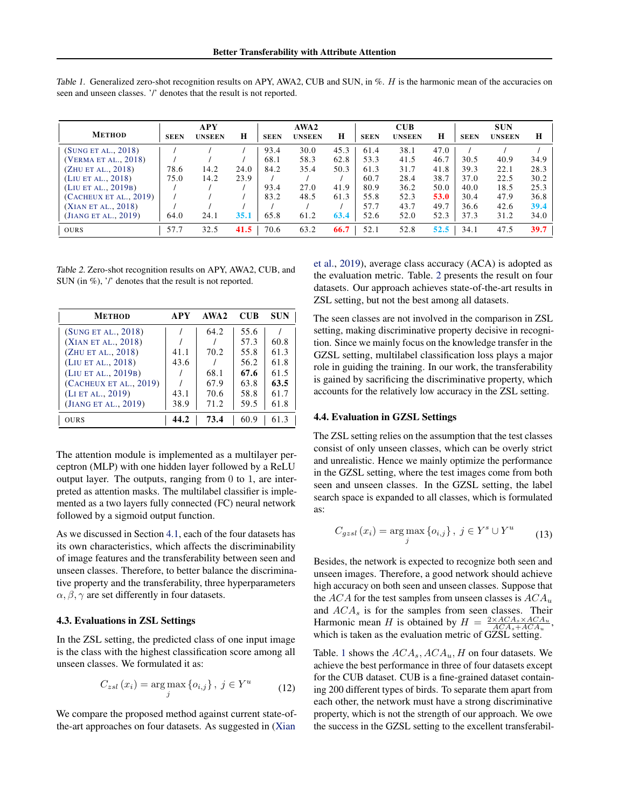| <b>METHOD</b>          | <b>SEEN</b> | <b>APY</b><br><b>UNSEEN</b> | H    | <b>SEEN</b> | AWA2<br><b>UNSEEN</b> | H    | <b>SEEN</b> | $\overline{\text{C}}\text{U}\text{B}$<br><b>UNSEEN</b> | H    | <b>SEEN</b> | <b>SUN</b><br><b>UNSEEN</b> | H           |
|------------------------|-------------|-----------------------------|------|-------------|-----------------------|------|-------------|--------------------------------------------------------|------|-------------|-----------------------------|-------------|
| (SUNG ET AL., 2018)    |             |                             |      | 93.4        | 30.0                  | 45.3 | 61.4        | 38.1                                                   | 47.0 |             |                             |             |
| (VERMA ET AL., 2018)   |             |                             |      | 68.1        | 58.3                  | 62.8 | 53.3        | 41.5                                                   | 46.7 | 30.5        | 40.9                        | 34.9        |
| (ZHU ET AL., 2018)     | 78.6        | 14.2                        | 24.0 | 84.2        | 35.4                  | 50.3 | 61.3        | 31.7                                                   | 41.8 | 39.3        | 22.1                        | 28.3        |
| (LIU ET AL., 2018)     | 75.0        | 14.2                        | 23.9 |             |                       |      | 60.7        | 28.4                                                   | 38.7 | 37.0        | 22.5                        | 30.2        |
| (LIU ET AL., 2019B)    |             |                             |      | 93.4        | 27.0                  | 41.9 | 80.9        | 36.2                                                   | 50.0 | 40.0        | 18.5                        | 25.3        |
| (CACHEUX ET AL., 2019) |             |                             |      | 83.2        | 48.5                  | 61.3 | 55.8        | 52.3                                                   | 53.0 | 30.4        | 47.9                        | 36.8        |
| (XIAN ET AL., 2018)    |             |                             |      |             |                       |      | 57.7        | 43.7                                                   | 49.7 | 36.6        | 42.6                        | 39.4        |
| (JIANG ET AL., 2019)   | 64.0        | 24.1                        | 35.1 | 65.8        | 61.2                  | 63.4 | 52.6        | 52.0                                                   | 52.3 | 37.3        | 31.2                        | 34.0        |
| <b>OURS</b>            | 57.7        | 32.5                        | 41.5 | 70.6        | 63.2                  | 66.7 | 52.1        | 52.8                                                   | 52.5 | 34.1        | 47.5                        | <b>39.7</b> |

Table 1. Generalized zero-shot recognition results on APY, AWA2, CUB and SUN, in %. H is the harmonic mean of the accuracies on seen and unseen classes. '/' denotes that the result is not reported.

Table 2. Zero-shot recognition results on APY, AWA2, CUB, and SUN (in %), '/' denotes that the result is not reported.

| <b>METHOD</b>          | A P Y | AWA <sub>2</sub> | CUB  | SUN  |
|------------------------|-------|------------------|------|------|
| (SUNG ET AL., 2018)    |       | 64.2             | 55.6 |      |
| (XIAN ET AL., 2018)    |       |                  | 57.3 | 60.8 |
| (ZHU ET AL., 2018)     | 41.1  | 70.2             | 55.8 | 61.3 |
| (LIU ET AL., 2018)     | 43.6  |                  | 56.2 | 61.8 |
| (LIU ET AL., 2019B)    |       | 68.1             | 67.6 | 61.5 |
| (CACHEUX ET AL., 2019) |       | 67.9             | 63.8 | 63.5 |
| (LI ET AL., 2019)      | 43.1  | 70.6             | 58.8 | 61.7 |
| (JIANG ET AL., 2019)   | 38.9  | 71.2             | 59.5 | 61.8 |
| <b>OURS</b>            | 44.2  | 73.4             | 60.9 |      |

The attention module is implemented as a multilayer perceptron (MLP) with one hidden layer followed by a ReLU output layer. The outputs, ranging from 0 to 1, are interpreted as attention masks. The multilabel classifier is implemented as a two layers fully connected (FC) neural network followed by a sigmoid output function.

As we discussed in Section [4.1,](#page-4-0) each of the four datasets has its own characteristics, which affects the discriminability of image features and the transferability between seen and unseen classes. Therefore, to better balance the discriminative property and the transferability, three hyperparameters  $\alpha$ ,  $\beta$ ,  $\gamma$  are set differently in four datasets.

## 4.3. Evaluations in ZSL Settings

In the ZSL setting, the predicted class of one input image is the class with the highest classification score among all unseen classes. We formulated it as:

$$
C_{zsl}\left(x_{i}\right) = \underset{j}{\text{arg max}}\left\{o_{i,j}\right\},\ j \in Y^{u} \tag{12}
$$

We compare the proposed method against current state-ofthe-art approaches on four datasets. As suggested in [\(Xian](#page-8-0)

[et al.,](#page-8-0) [2019\)](#page-8-0), average class accuracy (ACA) is adopted as the evaluation metric. Table. 2 presents the result on four datasets. Our approach achieves state-of-the-art results in ZSL setting, but not the best among all datasets.

The seen classes are not involved in the comparison in ZSL setting, making discriminative property decisive in recognition. Since we mainly focus on the knowledge transfer in the GZSL setting, multilabel classification loss plays a major role in guiding the training. In our work, the transferability is gained by sacrificing the discriminative property, which accounts for the relatively low accuracy in the ZSL setting.

#### 4.4. Evaluation in GZSL Settings

The ZSL setting relies on the assumption that the test classes consist of only unseen classes, which can be overly strict and unrealistic. Hence we mainly optimize the performance in the GZSL setting, where the test images come from both seen and unseen classes. In the GZSL setting, the label search space is expanded to all classes, which is formulated as:

$$
C_{gzsl}(x_i) = \underset{j}{\text{arg max}} \left\{ o_{i,j} \right\}, \ j \in Y^s \cup Y^u \tag{13}
$$

Besides, the network is expected to recognize both seen and unseen images. Therefore, a good network should achieve high accuracy on both seen and unseen classes. Suppose that the ACA for the test samples from unseen classes is  $ACA_u$ and  $ACA<sub>s</sub>$  is for the samples from seen classes. Their Harmonic mean H is obtained by  $H = \frac{2 \times ACA_s \times ACA_u}{ACA + ACA}$ ,  $\overline{ACA_s+ACA_u}$ which is taken as the evaluation metric of GZSL setting.

Table. 1 shows the  $ACA_s$ ,  $ACA_u$ , H on four datasets. We achieve the best performance in three of four datasets except for the CUB dataset. CUB is a fine-grained dataset containing 200 different types of birds. To separate them apart from each other, the network must have a strong discriminative property, which is not the strength of our approach. We owe the success in the GZSL setting to the excellent transferabil-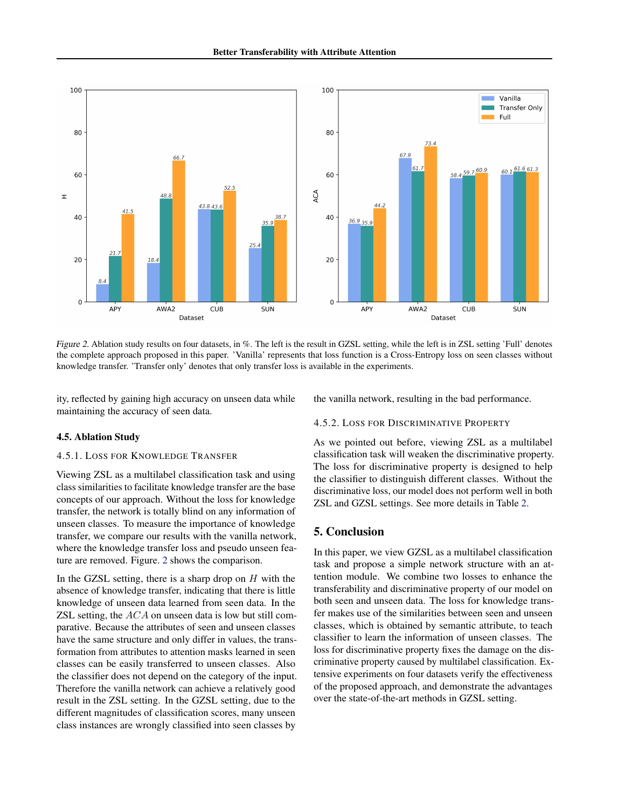

Figure 2. Ablation study results on four datasets, in %. The left is the result in GZSL setting, while the left is in ZSL setting 'Full' denotes the complete approach proposed in this paper. 'Vanilla' represents that loss function is a Cross-Entropy loss on seen classes without knowledge transfer. 'Transfer only' denotes that only transfer loss is available in the experiments.

ity, reflected by gaining high accuracy on unseen data while maintaining the accuracy of seen data.

the vanilla network, resulting in the bad performance.

#### 4.5.2. LOSS FOR DISCRIMINATIVE PROPERTY

## 4.5. Ablation Study

## 4.5.1. LOSS FOR KNOWLEDGE TRANSFER

Viewing ZSL as a multilabel classification task and using class similarities to facilitate knowledge transfer are the base concepts of our approach. Without the loss for knowledge transfer, the network is totally blind on any information of unseen classes. To measure the importance of knowledge transfer, we compare our results with the vanilla network, where the knowledge transfer loss and pseudo unseen feature are removed. Figure. 2 shows the comparison.

In the GZSL setting, there is a sharp drop on  $H$  with the absence of knowledge transfer, indicating that there is little knowledge of unseen data learned from seen data. In the ZSL setting, the ACA on unseen data is low but still comparative. Because the attributes of seen and unseen classes have the same structure and only differ in values, the transformation from attributes to attention masks learned in seen classes can be easily transferred to unseen classes. Also the classifier does not depend on the category of the input. Therefore the vanilla network can achieve a relatively good result in the ZSL setting. In the GZSL setting, due to the different magnitudes of classification scores, many unseen class instances are wrongly classified into seen classes by

As we pointed out before, viewing ZSL as a multilabel classification task will weaken the discriminative property. The loss for discriminative property is designed to help the classifier to distinguish different classes. Without the discriminative loss, our model does not perform well in both ZSL and GZSL settings. See more details in Table 2.

# 5. Conclusion

In this paper, we view GZSL as a multilabel classification task and propose a simple network structure with an attention module. We combine two losses to enhance the transferability and discriminative property of our model on both seen and unseen data. The loss for knowledge transfer makes use of the similarities between seen and unseen classes, which is obtained by semantic attribute, to teach classifier to learn the information of unseen classes. The loss for discriminative property fixes the damage on the discriminative property caused by multilabel classification. Extensive experiments on four datasets verify the effectiveness of the proposed approach, and demonstrate the advantages over the state-of-the-art methods in GZSL setting.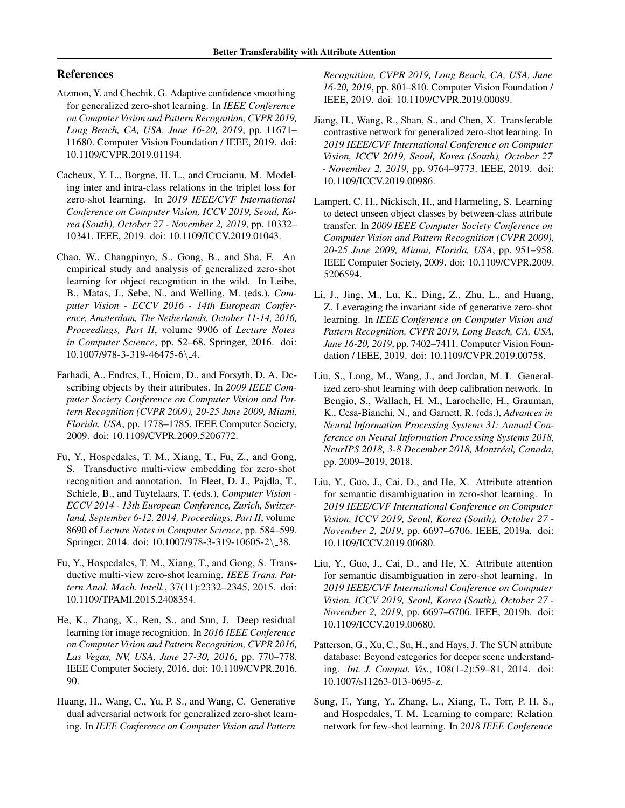# <span id="page-7-0"></span>References

- Atzmon, Y. and Chechik, G. Adaptive confidence smoothing for generalized zero-shot learning. In *IEEE Conference on Computer Vision and Pattern Recognition, CVPR 2019, Long Beach, CA, USA, June 16-20, 2019*, pp. 11671– 11680. Computer Vision Foundation / IEEE, 2019. doi: 10.1109/CVPR.2019.01194.
- Cacheux, Y. L., Borgne, H. L., and Crucianu, M. Modeling inter and intra-class relations in the triplet loss for zero-shot learning. In *2019 IEEE/CVF International Conference on Computer Vision, ICCV 2019, Seoul, Korea (South), October 27 - November 2, 2019*, pp. 10332– 10341. IEEE, 2019. doi: 10.1109/ICCV.2019.01043.
- Chao, W., Changpinyo, S., Gong, B., and Sha, F. An empirical study and analysis of generalized zero-shot learning for object recognition in the wild. In Leibe, B., Matas, J., Sebe, N., and Welling, M. (eds.), *Computer Vision - ECCV 2016 - 14th European Conference, Amsterdam, The Netherlands, October 11-14, 2016, Proceedings, Part II*, volume 9906 of *Lecture Notes in Computer Science*, pp. 52–68. Springer, 2016. doi: 10.1007/978-3-319-46475-6\ 4.
- Farhadi, A., Endres, I., Hoiem, D., and Forsyth, D. A. Describing objects by their attributes. In *2009 IEEE Computer Society Conference on Computer Vision and Pattern Recognition (CVPR 2009), 20-25 June 2009, Miami, Florida, USA*, pp. 1778–1785. IEEE Computer Society, 2009. doi: 10.1109/CVPR.2009.5206772.
- Fu, Y., Hospedales, T. M., Xiang, T., Fu, Z., and Gong, S. Transductive multi-view embedding for zero-shot recognition and annotation. In Fleet, D. J., Pajdla, T., Schiele, B., and Tuytelaars, T. (eds.), *Computer Vision - ECCV 2014 - 13th European Conference, Zurich, Switzerland, September 6-12, 2014, Proceedings, Part II*, volume 8690 of *Lecture Notes in Computer Science*, pp. 584–599. Springer, 2014. doi: 10.1007/978-3-319-10605-2\ 38.
- Fu, Y., Hospedales, T. M., Xiang, T., and Gong, S. Transductive multi-view zero-shot learning. *IEEE Trans. Pattern Anal. Mach. Intell.*, 37(11):2332–2345, 2015. doi: 10.1109/TPAMI.2015.2408354.
- He, K., Zhang, X., Ren, S., and Sun, J. Deep residual learning for image recognition. In *2016 IEEE Conference on Computer Vision and Pattern Recognition, CVPR 2016, Las Vegas, NV, USA, June 27-30, 2016*, pp. 770–778. IEEE Computer Society, 2016. doi: 10.1109/CVPR.2016. 90.
- Huang, H., Wang, C., Yu, P. S., and Wang, C. Generative dual adversarial network for generalized zero-shot learning. In *IEEE Conference on Computer Vision and Pattern*

*Recognition, CVPR 2019, Long Beach, CA, USA, June 16-20, 2019*, pp. 801–810. Computer Vision Foundation / IEEE, 2019. doi: 10.1109/CVPR.2019.00089.

- Jiang, H., Wang, R., Shan, S., and Chen, X. Transferable contrastive network for generalized zero-shot learning. In *2019 IEEE/CVF International Conference on Computer Vision, ICCV 2019, Seoul, Korea (South), October 27 - November 2, 2019*, pp. 9764–9773. IEEE, 2019. doi: 10.1109/ICCV.2019.00986.
- Lampert, C. H., Nickisch, H., and Harmeling, S. Learning to detect unseen object classes by between-class attribute transfer. In *2009 IEEE Computer Society Conference on Computer Vision and Pattern Recognition (CVPR 2009), 20-25 June 2009, Miami, Florida, USA*, pp. 951–958. IEEE Computer Society, 2009. doi: 10.1109/CVPR.2009. 5206594.
- Li, J., Jing, M., Lu, K., Ding, Z., Zhu, L., and Huang, Z. Leveraging the invariant side of generative zero-shot learning. In *IEEE Conference on Computer Vision and Pattern Recognition, CVPR 2019, Long Beach, CA, USA, June 16-20, 2019*, pp. 7402–7411. Computer Vision Foundation / IEEE, 2019. doi: 10.1109/CVPR.2019.00758.
- Liu, S., Long, M., Wang, J., and Jordan, M. I. Generalized zero-shot learning with deep calibration network. In Bengio, S., Wallach, H. M., Larochelle, H., Grauman, K., Cesa-Bianchi, N., and Garnett, R. (eds.), *Advances in Neural Information Processing Systems 31: Annual Conference on Neural Information Processing Systems 2018, NeurIPS 2018, 3-8 December 2018, Montreal, Canada ´* , pp. 2009–2019, 2018.
- Liu, Y., Guo, J., Cai, D., and He, X. Attribute attention for semantic disambiguation in zero-shot learning. In *2019 IEEE/CVF International Conference on Computer Vision, ICCV 2019, Seoul, Korea (South), October 27 - November 2, 2019*, pp. 6697–6706. IEEE, 2019a. doi: 10.1109/ICCV.2019.00680.
- Liu, Y., Guo, J., Cai, D., and He, X. Attribute attention for semantic disambiguation in zero-shot learning. In *2019 IEEE/CVF International Conference on Computer Vision, ICCV 2019, Seoul, Korea (South), October 27 - November 2, 2019*, pp. 6697–6706. IEEE, 2019b. doi: 10.1109/ICCV.2019.00680.
- Patterson, G., Xu, C., Su, H., and Hays, J. The SUN attribute database: Beyond categories for deeper scene understanding. *Int. J. Comput. Vis.*, 108(1-2):59–81, 2014. doi: 10.1007/s11263-013-0695-z.
- Sung, F., Yang, Y., Zhang, L., Xiang, T., Torr, P. H. S., and Hospedales, T. M. Learning to compare: Relation network for few-shot learning. In *2018 IEEE Conference*